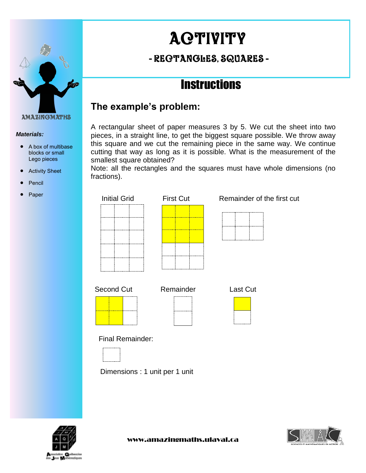

#### *Materials:*

- A box of multibase blocks or small Lego pieces
- Activity Sheet
- Pencil
- Paper

# **ACTIVITY**

## - rectangles, squares -

# **Instructions**

### **The example's problem:**

A rectangular sheet of paper measures 3 by 5. We cut the sheet into two pieces, in a straight line, to get the biggest square possible. We throw away this square and we cut the remaining piece in the same way. We continue cutting that way as long as it is possible. What is the measurement of the smallest square obtained?

Note: all the rectangles and the squares must have whole dimensions (no fractions).

| <b>Initial Grid</b>            | <b>First Cut</b> | Remainder of the first cut |
|--------------------------------|------------------|----------------------------|
|                                |                  |                            |
| Second Cut                     | Remainder        | <b>Last Cut</b>            |
| Final Remainder:               |                  |                            |
| Dimensions : 1 unit per 1 unit |                  |                            |